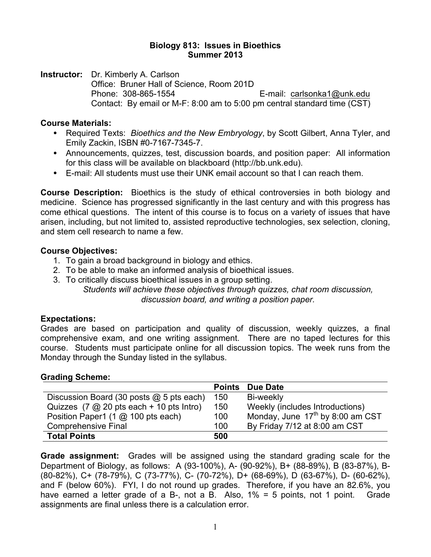#### **Biology 813: Issues in Bioethics Summer 2013**

**Instructor:** Dr. Kimberly A. Carlson Office: Bruner Hall of Science, Room 201D Phone: 308-865-1554 E-mail: carlsonka1@unk.edu Contact: By email or M-F: 8:00 am to 5:00 pm central standard time (CST)

#### **Course Materials:**

- Required Texts: *Bioethics and the New Embryology*, by Scott Gilbert, Anna Tyler, and Emily Zackin, ISBN #0-7167-7345-7.
- Announcements, quizzes, test, discussion boards, and position paper: All information for this class will be available on blackboard (http://bb.unk.edu).
- E-mail: All students must use their UNK email account so that I can reach them.

**Course Description:** Bioethics is the study of ethical controversies in both biology and medicine. Science has progressed significantly in the last century and with this progress has come ethical questions. The intent of this course is to focus on a variety of issues that have arisen, including, but not limited to, assisted reproductive technologies, sex selection, cloning, and stem cell research to name a few.

## **Course Objectives:**

- 1. To gain a broad background in biology and ethics.
- 2. To be able to make an informed analysis of bioethical issues.
- 3. To critically discuss bioethical issues in a group setting. *Students will achieve these objectives through quizzes, chat room discussion,*

*discussion board, and writing a position paper.*

## **Expectations:**

Grades are based on participation and quality of discussion, weekly quizzes, a final comprehensive exam, and one writing assignment. There are no taped lectures for this course. Students must participate online for all discussion topics. The week runs from the Monday through the Sunday listed in the syllabus.

## **Grading Scheme:**

|                                                                      | <b>Points</b> | Due Date                                     |
|----------------------------------------------------------------------|---------------|----------------------------------------------|
| Discussion Board (30 posts $@$ 5 pts each)                           | 150           | Bi-weekly                                    |
| Quizzes $(7 \text{ @ } 20 \text{ pts each } + 10 \text{ pts Intro})$ | 150           | Weekly (includes Introductions)              |
| Position Paper1 (1 @ 100 pts each)                                   | 100           | Monday, June 17 <sup>th</sup> by 8:00 am CST |
| <b>Comprehensive Final</b>                                           | 100           | By Friday 7/12 at 8:00 am CST                |
| <b>Total Points</b>                                                  | 500           |                                              |

**Grade assignment:** Grades will be assigned using the standard grading scale for the Department of Biology, as follows: A (93-100%), A- (90-92%), B+ (88-89%), B (83-87%), B- (80-82%), C+ (78-79%), C (73-77%), C- (70-72%), D+ (68-69%), D (63-67%), D- (60-62%), and F (below 60%). FYI, I do not round up grades. Therefore, if you have an 82.6%, you have earned a letter grade of a B-, not a B. Also, 1% = 5 points, not 1 point. Grade assignments are final unless there is a calculation error.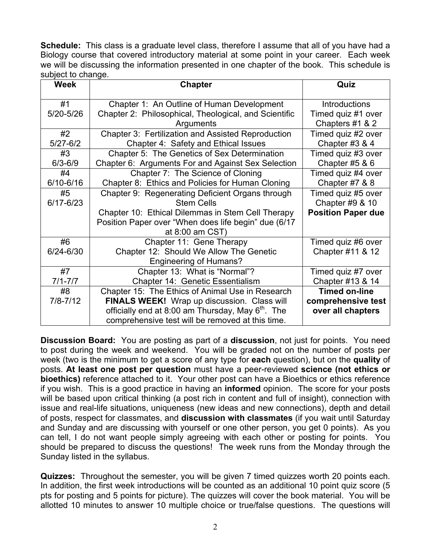**Schedule:** This class is a graduate level class, therefore I assume that all of you have had a Biology course that covered introductory material at some point in your career. Each week we will be discussing the information presented in one chapter of the book. This schedule is subject to change.

| <b>Week</b>   | <b>Chapter</b>                                                | Quiz                      |
|---------------|---------------------------------------------------------------|---------------------------|
| #1            | Chapter 1: An Outline of Human Development                    | <b>Introductions</b>      |
| 5/20-5/26     | Chapter 2: Philosophical, Theological, and Scientific         | Timed quiz #1 over        |
|               | Arguments                                                     | Chapters #1 & 2           |
| #2            | Chapter 3: Fertilization and Assisted Reproduction            | Timed quiz #2 over        |
| $5/27 - 6/2$  | Chapter 4: Safety and Ethical Issues                          | Chapter #3 & 4            |
| #3            | Chapter 5: The Genetics of Sex Determination                  | Timed quiz #3 over        |
| $6/3 - 6/9$   | Chapter 6: Arguments For and Against Sex Selection            | Chapter #5 $86$           |
| #4            | Chapter 7: The Science of Cloning                             | Timed quiz #4 over        |
| 6/10-6/16     | Chapter 8: Ethics and Policies for Human Cloning              | Chapter #7 & 8            |
| #5            | Chapter 9: Regenerating Deficient Organs through              | Timed quiz #5 over        |
| $6/17 - 6/23$ | <b>Stem Cells</b>                                             | Chapter #9 & 10           |
|               | Chapter 10: Ethical Dilemmas in Stem Cell Therapy             | <b>Position Paper due</b> |
|               | Position Paper over "When does life begin" due (6/17          |                           |
|               | at 8:00 am CST)                                               |                           |
| #6            | Chapter 11: Gene Therapy                                      | Timed quiz #6 over        |
| 6/24-6/30     | Chapter 12: Should We Allow The Genetic                       | Chapter #11 & 12          |
|               | <b>Engineering of Humans?</b>                                 |                           |
| #7            | Chapter 13: What is "Normal"?                                 | Timed quiz #7 over        |
| $7/1 - 7/7$   | Chapter 14: Genetic Essentialism                              | Chapter #13 & 14          |
| #8            | Chapter 15: The Ethics of Animal Use in Research              | <b>Timed on-line</b>      |
| $7/8 - 7/12$  | FINALS WEEK! Wrap up discussion. Class will                   | comprehensive test        |
|               | officially end at 8:00 am Thursday, May 6 <sup>th</sup> . The | over all chapters         |
|               | comprehensive test will be removed at this time.              |                           |

**Discussion Board:** You are posting as part of a **discussion**, not just for points. You need to post during the week and weekend. You will be graded not on the number of posts per week (two is the minimum to get a score of any type for **each** question), but on the **quality** of posts. **At least one post per question** must have a peer-reviewed **science (not ethics or bioethics)** reference attached to it. Your other post can have a Bioethics or ethics reference if you wish. This is a good practice in having an **informed** opinion. The score for your posts will be based upon critical thinking (a post rich in content and full of insight), connection with issue and real-life situations, uniqueness (new ideas and new connections), depth and detail of posts, respect for classmates, and **discussion with classmates** (if you wait until Saturday and Sunday and are discussing with yourself or one other person, you get 0 points). As you can tell, I do not want people simply agreeing with each other or posting for points. You should be prepared to discuss the questions! The week runs from the Monday through the Sunday listed in the syllabus.

**Quizzes:** Throughout the semester, you will be given 7 timed quizzes worth 20 points each. In addition, the first week introductions will be counted as an additional 10 point quiz score (5 pts for posting and 5 points for picture). The quizzes will cover the book material. You will be allotted 10 minutes to answer 10 multiple choice or true/false questions. The questions will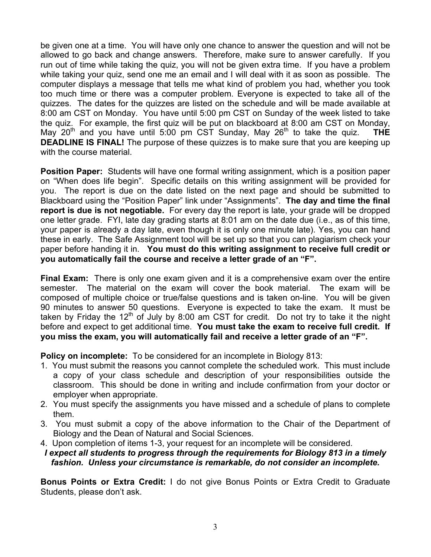be given one at a time. You will have only one chance to answer the question and will not be allowed to go back and change answers. Therefore, make sure to answer carefully. If you run out of time while taking the quiz, you will not be given extra time. If you have a problem while taking your quiz, send one me an email and I will deal with it as soon as possible. The computer displays a message that tells me what kind of problem you had, whether you took too much time or there was a computer problem. Everyone is expected to take all of the quizzes. The dates for the quizzes are listed on the schedule and will be made available at 8:00 am CST on Monday. You have until 5:00 pm CST on Sunday of the week listed to take the quiz. For example, the first quiz will be put on blackboard at 8:00 am CST on Monday, May 20<sup>th</sup> and you have until 5:00 pm CST Sunday, May 26<sup>th</sup> to take the quiz. **THE DEADLINE IS FINAL!** The purpose of these quizzes is to make sure that you are keeping up with the course material.

**Position Paper:** Students will have one formal writing assignment, which is a position paper on "When does life begin". Specific details on this writing assignment will be provided for you. The report is due on the date listed on the next page and should be submitted to Blackboard using the "Position Paper" link under "Assignments". **The day and time the final report is due is not negotiable.** For every day the report is late, your grade will be dropped one letter grade. FYI, late day grading starts at 8:01 am on the date due (i.e., as of this time, your paper is already a day late, even though it is only one minute late). Yes, you can hand these in early. The Safe Assignment tool will be set up so that you can plagiarism check your paper before handing it in. **You must do this writing assignment to receive full credit or you automatically fail the course and receive a letter grade of an "F".**

**Final Exam:** There is only one exam given and it is a comprehensive exam over the entire semester. The material on the exam will cover the book material. The exam will be composed of multiple choice or true/false questions and is taken on-line. You will be given 90 minutes to answer 50 questions. Everyone is expected to take the exam. It must be taken by Friday the 12<sup>th</sup> of July by 8:00 am CST for credit. Do not try to take it the night before and expect to get additional time. **You must take the exam to receive full credit. If you miss the exam, you will automatically fail and receive a letter grade of an "F".** 

**Policy on incomplete:** To be considered for an incomplete in Biology 813:

- 1. You must submit the reasons you cannot complete the scheduled work. This must include a copy of your class schedule and description of your responsibilities outside the classroom. This should be done in writing and include confirmation from your doctor or employer when appropriate.
- 2. You must specify the assignments you have missed and a schedule of plans to complete them.
- 3. You must submit a copy of the above information to the Chair of the Department of Biology and the Dean of Natural and Social Sciences.
- 4. Upon completion of items 1-3, your request for an incomplete will be considered.

# *I expect all students to progress through the requirements for Biology 813 in a timely fashion. Unless your circumstance is remarkable, do not consider an incomplete.*

**Bonus Points or Extra Credit:** I do not give Bonus Points or Extra Credit to Graduate Students, please don't ask.